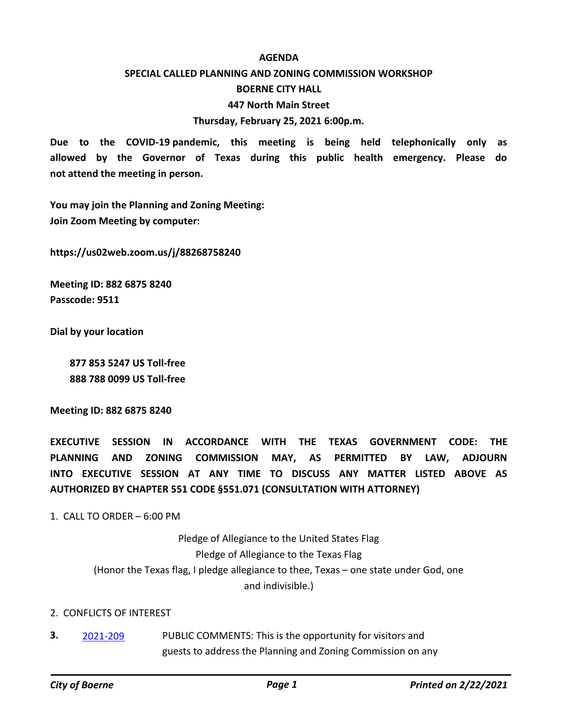#### **AGENDA**

## **SPECIAL CALLED PLANNING AND ZONING COMMISSION WORKSHOP**

#### **BOERNE CITY HALL**

#### **447 North Main Street**

#### **Thursday, February 25, 2021 6:00p.m.**

**Due to the COVID-19 pandemic, this meeting is being held telephonically only as allowed by the Governor of Texas during this public health emergency. Please do not attend the meeting in person.**

**You may join the Planning and Zoning Meeting: Join Zoom Meeting by computer:**

**https://us02web.zoom.us/j/88268758240**

**Meeting ID: 882 6875 8240 Passcode: 9511**

**Dial by your location**

 **877 853 5247 US Toll-free 888 788 0099 US Toll-free**

**Meeting ID: 882 6875 8240**

**EXECUTIVE SESSION IN ACCORDANCE WITH THE TEXAS GOVERNMENT CODE: THE PLANNING AND ZONING COMMISSION MAY, AS PERMITTED BY LAW, ADJOURN INTO EXECUTIVE SESSION AT ANY TIME TO DISCUSS ANY MATTER LISTED ABOVE AS AUTHORIZED BY CHAPTER 551 CODE §551.071 (CONSULTATION WITH ATTORNEY)**

1. CALL TO ORDER – 6:00 PM

Pledge of Allegiance to the United States Flag Pledge of Allegiance to the Texas Flag (Honor the Texas flag, I pledge allegiance to thee, Texas – one state under God, one and indivisible.)

#### 2. CONFLICTS OF INTEREST

PUBLIC COMMENTS: This is the opportunity for visitors and guests to address the Planning and Zoning Commission on any **3.** [2021-209](http://boerne.legistar.com/gateway.aspx?m=l&id=/matter.aspx?key=5781)